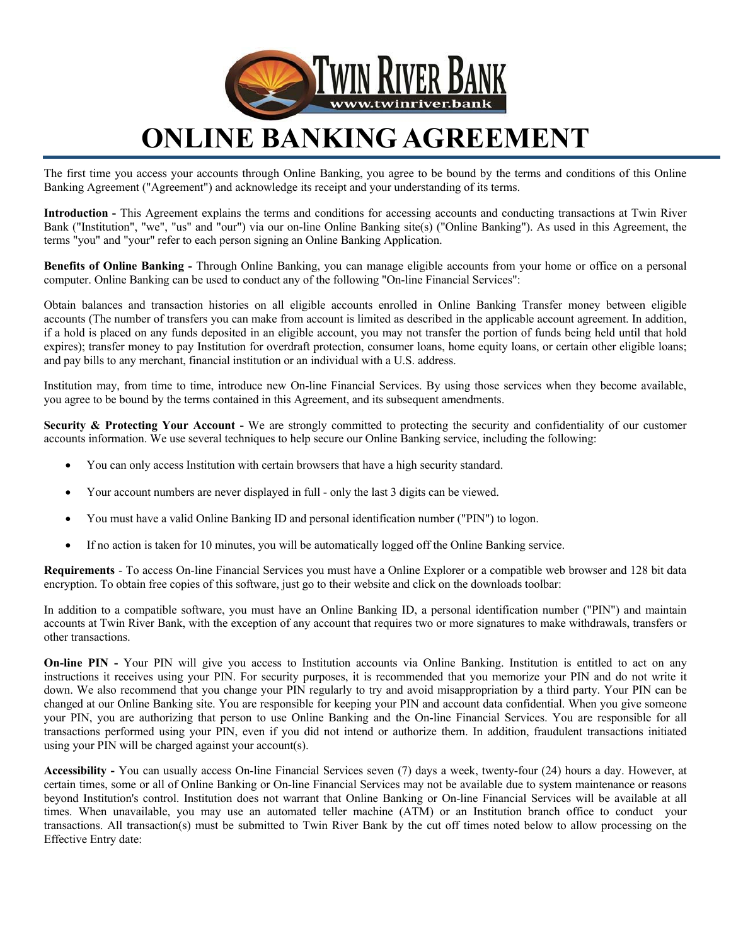

## **ONLINE BANKING AGREEMENT**

The first time you access your accounts through Online Banking, you agree to be bound by the terms and conditions of this Online Banking Agreement ("Agreement") and acknowledge its receipt and your understanding of its terms.

**Introduction -** This Agreement explains the terms and conditions for accessing accounts and conducting transactions at Twin River Bank ("Institution", "we", "us" and "our") via our on-line Online Banking site(s) ("Online Banking"). As used in this Agreement, the terms "you" and "your" refer to each person signing an Online Banking Application.

**Benefits of Online Banking -** Through Online Banking, you can manage eligible accounts from your home or office on a personal computer. Online Banking can be used to conduct any of the following "On-line Financial Services":

Obtain balances and transaction histories on all eligible accounts enrolled in Online Banking Transfer money between eligible accounts (The number of transfers you can make from account is limited as described in the applicable account agreement. In addition, if a hold is placed on any funds deposited in an eligible account, you may not transfer the portion of funds being held until that hold expires); transfer money to pay Institution for overdraft protection, consumer loans, home equity loans, or certain other eligible loans; and pay bills to any merchant, financial institution or an individual with a U.S. address.

Institution may, from time to time, introduce new On-line Financial Services. By using those services when they become available, you agree to be bound by the terms contained in this Agreement, and its subsequent amendments.

**Security & Protecting Your Account -** We are strongly committed to protecting the security and confidentiality of our customer accounts information. We use several techniques to help secure our Online Banking service, including the following:

- You can only access Institution with certain browsers that have a high security standard.
- Your account numbers are never displayed in full only the last 3 digits can be viewed.
- You must have a valid Online Banking ID and personal identification number ("PIN") to logon.
- If no action is taken for 10 minutes, you will be automatically logged off the Online Banking service.

**Requirements** - To access On-line Financial Services you must have a Online Explorer or a compatible web browser and 128 bit data encryption. To obtain free copies of this software, just go to their website and click on the downloads toolbar:

In addition to a compatible software, you must have an Online Banking ID, a personal identification number ("PIN") and maintain accounts at Twin River Bank, with the exception of any account that requires two or more signatures to make withdrawals, transfers or other transactions.

**On-line PIN -** Your PIN will give you access to Institution accounts via Online Banking. Institution is entitled to act on any instructions it receives using your PIN. For security purposes, it is recommended that you memorize your PIN and do not write it down. We also recommend that you change your PIN regularly to try and avoid misappropriation by a third party. Your PIN can be changed at our Online Banking site. You are responsible for keeping your PIN and account data confidential. When you give someone your PIN, you are authorizing that person to use Online Banking and the On-line Financial Services. You are responsible for all transactions performed using your PIN, even if you did not intend or authorize them. In addition, fraudulent transactions initiated using your PIN will be charged against your account(s).

**Accessibility -** You can usually access On-line Financial Services seven (7) days a week, twenty-four (24) hours a day. However, at certain times, some or all of Online Banking or On-line Financial Services may not be available due to system maintenance or reasons beyond Institution's control. Institution does not warrant that Online Banking or On-line Financial Services will be available at all times. When unavailable, you may use an automated teller machine (ATM) or an Institution branch office to conduct your transactions. All transaction(s) must be submitted to Twin River Bank by the cut off times noted below to allow processing on the Effective Entry date: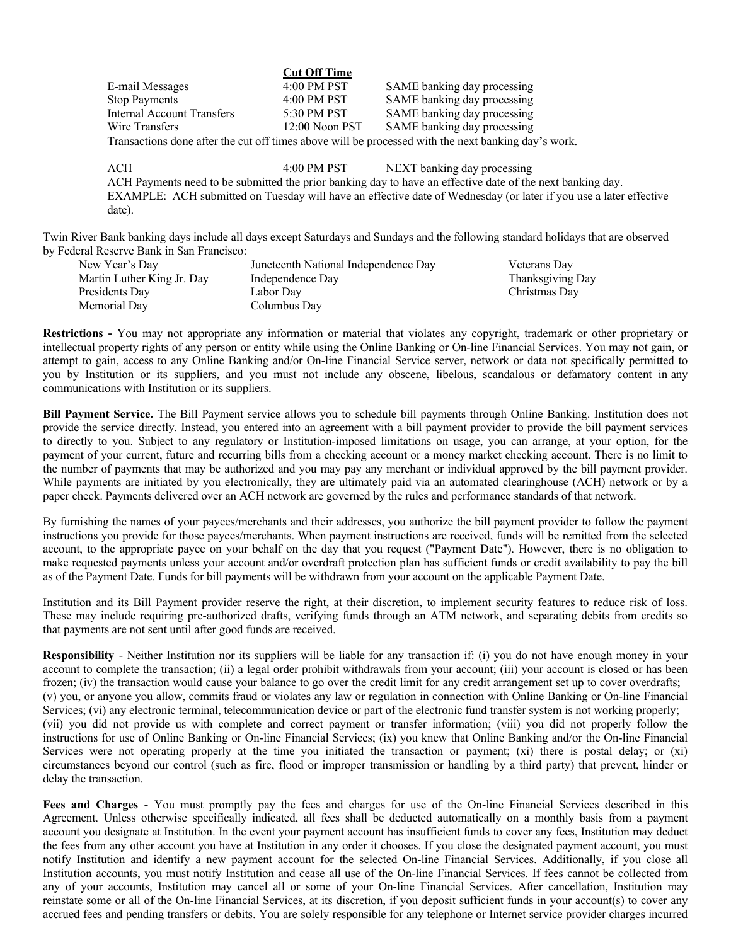|                                                                                                     | <b>Cut Off Time</b> |                             |  |  |
|-----------------------------------------------------------------------------------------------------|---------------------|-----------------------------|--|--|
| E-mail Messages                                                                                     | $4:00$ PM PST       | SAME banking day processing |  |  |
| <b>Stop Payments</b>                                                                                | $4:00$ PM PST       | SAME banking day processing |  |  |
| Internal Account Transfers                                                                          | 5:30 PM PST         | SAME banking day processing |  |  |
| Wire Transfers                                                                                      | $12:00$ Noon PST    | SAME banking day processing |  |  |
| Transactions done after the cut off times above will be processed with the next banking day's work. |                     |                             |  |  |

**Cut Off Time**

ACH 4:00 PM PST NEXT banking day processing ACH Payments need to be submitted the prior banking day to have an effective date of the next banking day. EXAMPLE: ACH submitted on Tuesday will have an effective date of Wednesday (or later if you use a later effective date).

Twin River Bank banking days include all days except Saturdays and Sundays and the following standard holidays that are observed by Federal Reserve Bank in San Francisco:

| New Year's Day             | Juneteenth National Independence Day | Veterans Day     |
|----------------------------|--------------------------------------|------------------|
| Martin Luther King Jr. Day | Independence Day                     | Thanksgiving Day |
| Presidents Day             | Labor Dav                            | Christmas Day    |
| Memorial Dav               | Columbus Day                         |                  |

**Restrictions** - You may not appropriate any information or material that violates any copyright, trademark or other proprietary or intellectual property rights of any person or entity while using the Online Banking or On-line Financial Services. You may not gain, or attempt to gain, access to any Online Banking and/or On-line Financial Service server, network or data not specifically permitted to you by Institution or its suppliers, and you must not include any obscene, libelous, scandalous or defamatory content in any communications with Institution or its suppliers.

**Bill Payment Service.** The Bill Payment service allows you to schedule bill payments through Online Banking. Institution does not provide the service directly. Instead, you entered into an agreement with a bill payment provider to provide the bill payment services to directly to you. Subject to any regulatory or Institution-imposed limitations on usage, you can arrange, at your option, for the payment of your current, future and recurring bills from a checking account or a money market checking account. There is no limit to the number of payments that may be authorized and you may pay any merchant or individual approved by the bill payment provider. While payments are initiated by you electronically, they are ultimately paid via an automated clearinghouse (ACH) network or by a paper check. Payments delivered over an ACH network are governed by the rules and performance standards of that network.

By furnishing the names of your payees/merchants and their addresses, you authorize the bill payment provider to follow the payment instructions you provide for those payees/merchants. When payment instructions are received, funds will be remitted from the selected account, to the appropriate payee on your behalf on the day that you request ("Payment Date"). However, there is no obligation to make requested payments unless your account and/or overdraft protection plan has sufficient funds or credit availability to pay the bill as of the Payment Date. Funds for bill payments will be withdrawn from your account on the applicable Payment Date.

Institution and its Bill Payment provider reserve the right, at their discretion, to implement security features to reduce risk of loss. These may include requiring pre-authorized drafts, verifying funds through an ATM network, and separating debits from credits so that payments are not sent until after good funds are received.

**Responsibility** - Neither Institution nor its suppliers will be liable for any transaction if: (i) you do not have enough money in your account to complete the transaction; (ii) a legal order prohibit withdrawals from your account; (iii) your account is closed or has been frozen; (iv) the transaction would cause your balance to go over the credit limit for any credit arrangement set up to cover overdrafts; (v) you, or anyone you allow, commits fraud or violates any law or regulation in connection with Online Banking or On-line Financial Services; (vi) any electronic terminal, telecommunication device or part of the electronic fund transfer system is not working properly; (vii) you did not provide us with complete and correct payment or transfer information; (viii) you did not properly follow the instructions for use of Online Banking or On-line Financial Services; (ix) you knew that Online Banking and/or the On-line Financial Services were not operating properly at the time you initiated the transaction or payment; (xi) there is postal delay; or (xi) circumstances beyond our control (such as fire, flood or improper transmission or handling by a third party) that prevent, hinder or delay the transaction.

**Fees and Charges** - You must promptly pay the fees and charges for use of the On-line Financial Services described in this Agreement. Unless otherwise specifically indicated, all fees shall be deducted automatically on a monthly basis from a payment account you designate at Institution. In the event your payment account has insufficient funds to cover any fees, Institution may deduct the fees from any other account you have at Institution in any order it chooses. If you close the designated payment account, you must notify Institution and identify a new payment account for the selected On-line Financial Services. Additionally, if you close all Institution accounts, you must notify Institution and cease all use of the On-line Financial Services. If fees cannot be collected from any of your accounts, Institution may cancel all or some of your On-line Financial Services. After cancellation, Institution may reinstate some or all of the On-line Financial Services, at its discretion, if you deposit sufficient funds in your account(s) to cover any accrued fees and pending transfers or debits. You are solely responsible for any telephone or Internet service provider charges incurred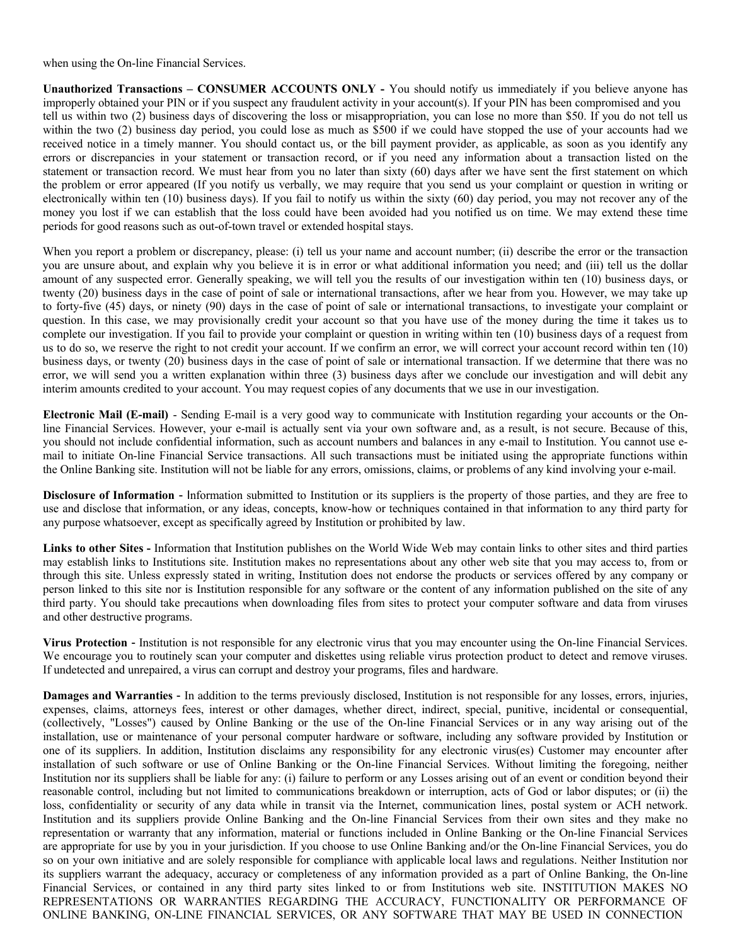when using the On-line Financial Services.

**Unauthorized Transactions – CONSUMER ACCOUNTS ONLY -** You should notify us immediately if you believe anyone has improperly obtained your PIN or if you suspect any fraudulent activity in your account(s). If your PIN has been compromised and you tell us within two (2) business days of discovering the loss or misappropriation, you can lose no more than \$50. If you do not tell us within the two (2) business day period, you could lose as much as \$500 if we could have stopped the use of your accounts had we received notice in a timely manner. You should contact us, or the bill payment provider, as applicable, as soon as you identify any errors or discrepancies in your statement or transaction record, or if you need any information about a transaction listed on the statement or transaction record. We must hear from you no later than sixty (60) days after we have sent the first statement on which the problem or error appeared (If you notify us verbally, we may require that you send us your complaint or question in writing or electronically within ten (10) business days). If you fail to notify us within the sixty (60) day period, you may not recover any of the money you lost if we can establish that the loss could have been avoided had you notified us on time. We may extend these time periods for good reasons such as out-of-town travel or extended hospital stays.

When you report a problem or discrepancy, please: (i) tell us your name and account number; (ii) describe the error or the transaction you are unsure about, and explain why you believe it is in error or what additional information you need; and (iii) tell us the dollar amount of any suspected error. Generally speaking, we will tell you the results of our investigation within ten (10) business days, or twenty (20) business days in the case of point of sale or international transactions, after we hear from you. However, we may take up to forty-five (45) days, or ninety (90) days in the case of point of sale or international transactions, to investigate your complaint or question. In this case, we may provisionally credit your account so that you have use of the money during the time it takes us to complete our investigation. If you fail to provide your complaint or question in writing within ten (10) business days of a request from us to do so, we reserve the right to not credit your account. If we confirm an error, we will correct your account record within ten (10) business days, or twenty (20) business days in the case of point of sale or international transaction. If we determine that there was no error, we will send you a written explanation within three (3) business days after we conclude our investigation and will debit any interim amounts credited to your account. You may request copies of any documents that we use in our investigation.

**Electronic Mail (E-mail)** - Sending E-mail is a very good way to communicate with Institution regarding your accounts or the Online Financial Services. However, your e-mail is actually sent via your own software and, as a result, is not secure. Because of this, you should not include confidential information, such as account numbers and balances in any e-mail to Institution. You cannot use email to initiate On-line Financial Service transactions. All such transactions must be initiated using the appropriate functions within the Online Banking site. Institution will not be liable for any errors, omissions, claims, or problems of any kind involving your e-mail.

**Disclosure of Information** - Information submitted to Institution or its suppliers is the property of those parties, and they are free to use and disclose that information, or any ideas, concepts, know-how or techniques contained in that information to any third party for any purpose whatsoever, except as specifically agreed by Institution or prohibited by law.

**Links to other Sites -** Information that Institution publishes on the World Wide Web may contain links to other sites and third parties may establish links to Institutions site. Institution makes no representations about any other web site that you may access to, from or through this site. Unless expressly stated in writing, Institution does not endorse the products or services offered by any company or person linked to this site nor is Institution responsible for any software or the content of any information published on the site of any third party. You should take precautions when downloading files from sites to protect your computer software and data from viruses and other destructive programs.

**Virus Protection** - Institution is not responsible for any electronic virus that you may encounter using the On-line Financial Services. We encourage you to routinely scan your computer and diskettes using reliable virus protection product to detect and remove viruses. If undetected and unrepaired, a virus can corrupt and destroy your programs, files and hardware.

**Damages and Warranties** - In addition to the terms previously disclosed, Institution is not responsible for any losses, errors, injuries, expenses, claims, attorneys fees, interest or other damages, whether direct, indirect, special, punitive, incidental or consequential, (collectively, "Losses") caused by Online Banking or the use of the On-line Financial Services or in any way arising out of the installation, use or maintenance of your personal computer hardware or software, including any software provided by Institution or one of its suppliers. In addition, Institution disclaims any responsibility for any electronic virus(es) Customer may encounter after installation of such software or use of Online Banking or the On-line Financial Services. Without limiting the foregoing, neither Institution nor its suppliers shall be liable for any: (i) failure to perform or any Losses arising out of an event or condition beyond their reasonable control, including but not limited to communications breakdown or interruption, acts of God or labor disputes; or (ii) the loss, confidentiality or security of any data while in transit via the Internet, communication lines, postal system or ACH network. Institution and its suppliers provide Online Banking and the On-line Financial Services from their own sites and they make no representation or warranty that any information, material or functions included in Online Banking or the On-line Financial Services are appropriate for use by you in your jurisdiction. If you choose to use Online Banking and/or the On-line Financial Services, you do so on your own initiative and are solely responsible for compliance with applicable local laws and regulations. Neither Institution nor its suppliers warrant the adequacy, accuracy or completeness of any information provided as a part of Online Banking, the On-line Financial Services, or contained in any third party sites linked to or from Institutions web site. INSTITUTION MAKES NO REPRESENTATIONS OR WARRANTIES REGARDING THE ACCURACY, FUNCTIONALITY OR PERFORMANCE OF ONLINE BANKING, ON-LINE FINANCIAL SERVICES, OR ANY SOFTWARE THAT MAY BE USED IN CONNECTION